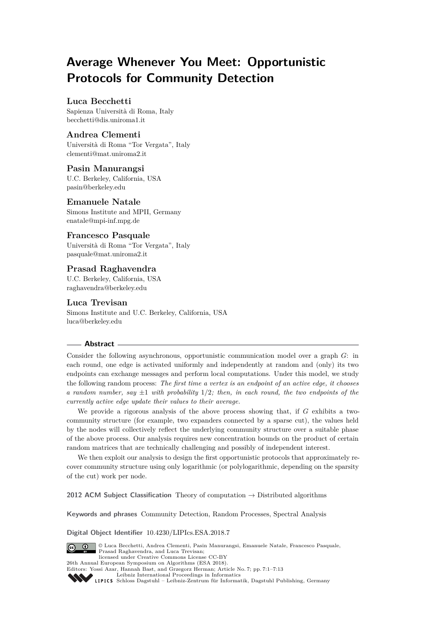# **Average Whenever You Meet: Opportunistic Protocols for Community Detection**

# **Luca Becchetti**

Sapienza Università di Roma, Italy [becchetti@dis.uniroma1.it](mailto:becchetti@dis.uniroma1.it)

# **Andrea Clementi**

Università di Roma "Tor Vergata", Italy [clementi@mat.uniroma2.it](mailto:clementi@mat.uniroma2.it)

## **Pasin Manurangsi**

U.C. Berkeley, California, USA [pasin@berkeley.edu](mailto:pasin@berkeley.edu)

## **Emanuele Natale**

Simons Institute and MPII, Germany [enatale@mpi-inf.mpg.de](mailto:enatale@mpi-inf.mpg.de)

# **Francesco Pasquale**

Università di Roma "Tor Vergata", Italy [pasquale@mat.uniroma2.it](mailto:pasquale@mat.uniroma2.it)

# **Prasad Raghavendra**

U.C. Berkeley, California, USA [raghavendra@berkeley.edu](mailto:raghavendra@berkeley.edu)

# **Luca Trevisan**

Simons Institute and U.C. Berkeley, California, USA [luca@berkeley.edu](mailto:luca@berkeley.edu)

## **Abstract**

Consider the following asynchronous, opportunistic communication model over a graph *G*: in each round, one edge is activated uniformly and independently at random and (only) its two endpoints can exchange messages and perform local computations. Under this model, we study the following random process: *The first time a vertex is an endpoint of an active edge, it chooses a random number, say*  $\pm 1$  *with probability* 1/2*; then, in each round, the two endpoints of the currently active edge update their values to their average.*

We provide a rigorous analysis of the above process showing that, if *G* exhibits a twocommunity structure (for example, two expanders connected by a sparse cut), the values held by the nodes will collectively reflect the underlying community structure over a suitable phase of the above process. Our analysis requires new concentration bounds on the product of certain random matrices that are technically challenging and possibly of independent interest.

We then exploit our analysis to design the first opportunistic protocols that approximately recover community structure using only logarithmic (or polylogarithmic, depending on the sparsity of the cut) work per node.

**2012 ACM Subject Classification** Theory of computation → Distributed algorithms

**Keywords and phrases** Community Detection, Random Processes, Spectral Analysis

**Digital Object Identifier** [10.4230/LIPIcs.ESA.2018.7](http://dx.doi.org/10.4230/LIPIcs.ESA.2018.7)



© Luca Becchetti, Andrea Clementi, Pasin Manurangsi, Emanuele Natale, Francesco Pasquale, Prasad Raghavendra, and Luca Trevisan; licensed under Creative Commons License CC-BY

26th Annual European Symposium on Algorithms (ESA 2018).

Editors: Yossi Azar, Hannah Bast, and Grzegorz Herman; Article No. 7; pp. 7:1–7[:13](#page-12-0) [Leibniz International Proceedings in Informatics](http://www.dagstuhl.de/lipics/)



[Schloss Dagstuhl – Leibniz-Zentrum für Informatik, Dagstuhl Publishing, Germany](http://www.dagstuhl.de)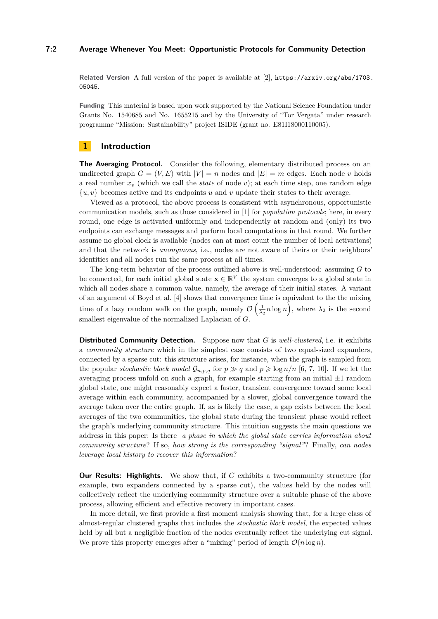### **7:2 Average Whenever You Meet: Opportunistic Protocols for Community Detection**

**Related Version** A full version of the paper is available at [\[2\]](#page-12-1), [https://arxiv.org/abs/1703.](https://arxiv.org/abs/1703.05045) [05045](https://arxiv.org/abs/1703.05045).

**Funding** This material is based upon work supported by the National Science Foundation under Grants No. 1540685 and No. 1655215 and by the University of "Tor Vergata" under research programme "Mission: Sustainability" project ISIDE (grant no. E81I18000110005).

## **1 Introduction**

**The Averaging Protocol.** Consider the following, elementary distributed process on an undirected graph  $G = (V, E)$  with  $|V| = n$  nodes and  $|E| = m$  edges. Each node *v* holds a real number *x<sup>v</sup>* (which we call the *state* of node *v*); at each time step, one random edge  $\{u, v\}$  becomes active and its endpoints *u* and *v* update their states to their average.

Viewed as a protocol, the above process is consistent with asynchronous, opportunistic communication models, such as those considered in [\[1\]](#page-12-2) for *population protocols*; here, in every round, one edge is activated uniformly and independently at random and (only) its two endpoints can exchange messages and perform local computations in that round. We further assume no global clock is available (nodes can at most count the number of local activations) and that the network is *anonymous*, i.e., nodes are not aware of theirs or their neighbors' identities and all nodes run the same process at all times.

The long-term behavior of the process outlined above is well-understood: assuming *G* to be connected, for each initial global state  $\mathbf{x} \in \mathbb{R}^V$  the system converges to a global state in which all nodes share a common value, namely, the average of their initial states. A variant of an argument of Boyd et al. [\[4\]](#page-12-3) shows that convergence time is equivalent to the the mixing time of a lazy random walk on the graph, namely  $\mathcal{O}\left(\frac{1}{\lambda_2}n\log n\right)$ , where  $\lambda_2$  is the second smallest eigenvalue of the normalized Laplacian of *G*.

**Distributed Community Detection.** Suppose now that *G* is *well-clustered*, i.e. it exhibits a *community structure* which in the simplest case consists of two equal-sized expanders, connected by a sparse cut: this structure arises, for instance, when the graph is sampled from the popular *stochastic block model*  $\mathcal{G}_{n,p,q}$  for  $p \gg q$  and  $p \geq \log n/n$  [\[6,](#page-12-4) [7,](#page-12-5) [10\]](#page-12-6). If we let the averaging process unfold on such a graph, for example starting from an initial  $\pm 1$  random global state, one might reasonably expect a faster, transient convergence toward some local average within each community, accompanied by a slower, global convergence toward the average taken over the entire graph. If, as is likely the case, a gap exists between the local averages of the two communities, the global state during the transient phase would reflect the graph's underlying community structure. This intuition suggests the main questions we address in this paper: Is there *a phase in which the global state carries information about community structure*? If so, *how strong is the corresponding "signal"*? Finally, *can nodes leverage local history to recover this information*?

**Our Results: Highlights.** We show that, if *G* exhibits a two-community structure (for example, two expanders connected by a sparse cut), the values held by the nodes will collectively reflect the underlying community structure over a suitable phase of the above process, allowing efficient and effective recovery in important cases.

In more detail, we first provide a first moment analysis showing that, for a large class of almost-regular clustered graphs that includes the *stochastic block model*, the expected values held by all but a negligible fraction of the nodes eventually reflect the underlying cut signal. We prove this property emerges after a "mixing" period of length  $\mathcal{O}(n \log n)$ .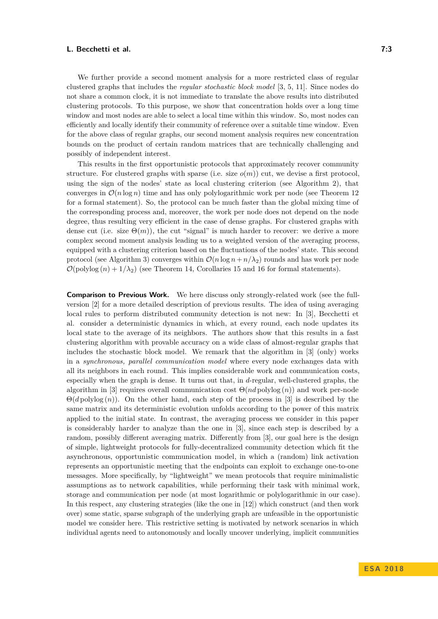We further provide a second moment analysis for a more restricted class of regular clustered graphs that includes the *regular stochastic block model* [\[3,](#page-12-7) [5,](#page-12-8) [11\]](#page-12-9). Since nodes do not share a common clock, it is not immediate to translate the above results into distributed clustering protocols. To this purpose, we show that concentration holds over a long time window and most nodes are able to select a local time within this window. So, most nodes can efficiently and locally identify their community of reference over a suitable time window. Even for the above class of regular graphs, our second moment analysis requires new concentration bounds on the product of certain random matrices that are technically challenging and possibly of independent interest.

This results in the first opportunistic protocols that approximately recover community structure. For clustered graphs with sparse (i.e. size  $o(m)$ ) cut, we devise a first protocol, using the sign of the nodes' state as local clustering criterion (see Algorithm [2\)](#page-8-0), that converges in  $\mathcal{O}(n \log n)$  time and has only polylogarithmic work per node (see Theorem [12](#page-9-0)) for a formal statement). So, the protocol can be much faster than the global mixing time of the corresponding process and, moreover, the work per node does not depend on the node degree, thus resulting very efficient in the case of dense graphs. For clustered graphs with dense cut (i.e. size  $\Theta(m)$ ), the cut "signal" is much harder to recover: we derive a more complex second moment analysis leading us to a weighted version of the averaging process, equipped with a clustering criterion based on the fluctuations of the nodes' state. This second protocol (see Algorithm [3\)](#page-9-1) converges within  $\mathcal{O}(n \log n + n/\lambda_2)$  rounds and has work per node  $\mathcal{O}(\text{polylog}(n) + 1/\lambda_2)$  (see Theorem [14,](#page-10-0) Corollaries [15](#page-11-0) and [16](#page-11-1) for formal statements).

**Comparison to Previous Work.** We here discuss only strongly-related work (see the fullversion [\[2\]](#page-12-1) for a more detailed description of previous results. The idea of using averaging local rules to perform distributed community detection is not new: In [\[3\]](#page-12-7), Becchetti et al. consider a deterministic dynamics in which, at every round, each node updates its local state to the average of its neighbors. The authors show that this results in a fast clustering algorithm with provable accuracy on a wide class of almost-regular graphs that includes the stochastic block model. We remark that the algorithm in [\[3\]](#page-12-7) (only) works in a *synchronous, parallel communication model* where every node exchanges data with all its neighbors in each round. This implies considerable work and communication costs, especially when the graph is dense. It turns out that, in *d*-regular, well-clustered graphs, the algorithm in [\[3\]](#page-12-7) requires overall communication cost Θ(*nd* polylog (*n*)) and work per-node Θ(*d* polylog (*n*)). On the other hand, each step of the process in [\[3\]](#page-12-7) is described by the same matrix and its deterministic evolution unfolds according to the power of this matrix applied to the initial state. In contrast, the averaging process we consider in this paper is considerably harder to analyze than the one in [\[3\]](#page-12-7), since each step is described by a random, possibly different averaging matrix. Differently from [\[3\]](#page-12-7), our goal here is the design of simple, lightweight protocols for fully-decentralized community detection which fit the asynchronous, opportunistic communication model, in which a (random) link activation represents an opportunistic meeting that the endpoints can exploit to exchange one-to-one messages. More specifically, by "lightweight" we mean protocols that require minimalistic assumptions as to network capabilities, while performing their task with minimal work, storage and communication per node (at most logarithmic or polylogarithmic in our case). In this respect, any clustering strategies (like the one in [\[12\]](#page-12-10)) which construct (and then work over) some static, sparse subgraph of the underlying graph are unfeasible in the opportunistic model we consider here. This restrictive setting is motivated by network scenarios in which individual agents need to autonomously and locally uncover underlying, implicit communities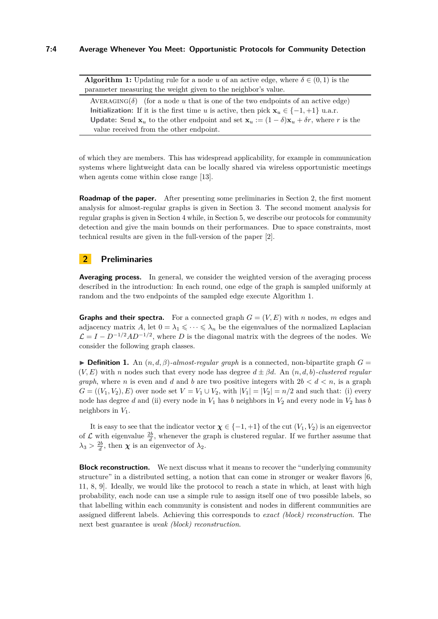**Algorithm 1:** Updating rule for a node *u* of an active edge, where  $\delta \in (0,1)$  is the parameter measuring the weight given to the neighbor's value.

 $AVERAGING(\delta)$  (for a node *u* that is one of the two endpoints of an active edge) **Initialization:** If it is the first time *u* is active, then pick  $\mathbf{x}_u \in \{-1, +1\}$  u.a.r. **Update:** Send  $\mathbf{x}_u$  to the other endpoint and set  $\mathbf{x}_u := (1 - \delta)\mathbf{x}_u + \delta r$ , where *r* is the value received from the other endpoint.

<span id="page-3-1"></span>of which they are members. This has widespread applicability, for example in communication systems where lightweight data can be locally shared via wireless opportunistic meetings when agents come within close range [\[13\]](#page-12-11).

**Roadmap of the paper.** After presenting some preliminaries in Section [2,](#page-3-0) the first moment analysis for almost-regular graphs is given in Section [3.](#page-4-0) The second moment analysis for regular graphs is given in Section [4](#page-5-0) while, in Section [5,](#page-8-1) we describe our protocols for community detection and give the main bounds on their performances. Due to space constraints, most technical results are given in the full-version of the paper [\[2\]](#page-12-1).

# <span id="page-3-0"></span>**2 Preliminaries**

Averaging process. In general, we consider the weighted version of the averaging process described in the introduction: In each round, one edge of the graph is sampled uniformly at random and the two endpoints of the sampled edge execute Algorithm [1.](#page-3-1)

**Graphs and their spectra.** For a connected graph  $G = (V, E)$  with *n* nodes, *m* edges and adjacency matrix *A*, let  $0 = \lambda_1 \leq \cdots \leq \lambda_n$  be the eigenvalues of the normalized Laplacian  $\mathcal{L} = I - D^{-1/2}AD^{-1/2}$ , where *D* is the diagonal matrix with the degrees of the nodes. We consider the following graph classes.

**Definition 1.** An  $(n, d, \beta)$ -almost-regular graph is a connected, non-bipartite graph  $G =$  $(V, E)$  with *n* nodes such that every node has degree  $d \pm \beta d$ . An  $(n, d, b)$ *-clustered regular graph*, where *n* is even and *d* and *b* are two positive integers with  $2b < d < n$ , is a graph  $G = ((V_1, V_2), E)$  over node set  $V = V_1 \cup V_2$ , with  $|V_1| = |V_2| = n/2$  and such that: (i) every node has degree *d* and (ii) every node in  $V_1$  has *b* neighbors in  $V_2$  and every node in  $V_2$  has *b* neighbors in *V*1.

It is easy to see that the indicator vector  $\chi \in \{-1, +1\}$  of the cut  $(V_1, V_2)$  is an eigenvector of  $\mathcal L$  with eigenvalue  $\frac{2b}{d}$ , whenever the graph is clustered regular. If we further assume that  $\lambda_3 > \frac{2b}{d}$ , then *χ* is an eigenvector of  $\lambda_2$ .

**Block reconstruction.** We next discuss what it means to recover the "underlying community" structure" in a distributed setting, a notion that can come in stronger or weaker flavors [\[6,](#page-12-4) [11,](#page-12-9) [8,](#page-12-12) [9\]](#page-12-13). Ideally, we would like the protocol to reach a state in which, at least with high probability, each node can use a simple rule to assign itself one of two possible labels, so that labelling within each community is consistent and nodes in different communities are assigned different labels. Achieving this corresponds to *exact (block) reconstruction*. The next best guarantee is *weak (block) reconstruction*.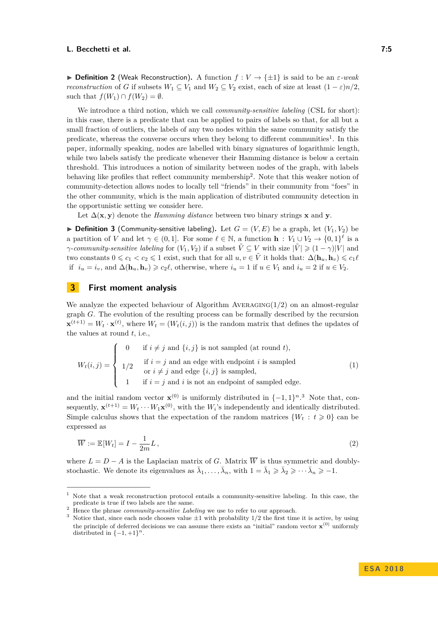$\triangleright$  **Definition 2** (Weak Reconstruction). A function *f* : *V* → { $\pm$ 1} is said to be an *ε-weak reconstruction* of *G* if subsets  $W_1 \subseteq V_1$  and  $W_2 \subseteq V_2$  exist, each of size at least  $(1 - \varepsilon)n/2$ , such that  $f(W_1) \cap f(W_2) = \emptyset$ .

We introduce a third notion, which we call *community-sensitive labeling* (CSL for short): in this case, there is a predicate that can be applied to pairs of labels so that, for all but a small fraction of outliers, the labels of any two nodes within the same community satisfy the predicate, whereas the converse occurs when they belong to different communities<sup>[1](#page-4-1)</sup>. In this paper, informally speaking, nodes are labelled with binary signatures of logarithmic length, while two labels satisfy the predicate whenever their Hamming distance is below a certain threshold. This introduces a notion of similarity between nodes of the graph, with labels behaving like profiles that reflect community membership<sup>[2](#page-4-2)</sup>. Note that this weaker notion of community-detection allows nodes to locally tell "friends" in their community from "foes" in the other community, which is the main application of distributed community detection in the opportunistic setting we consider here.

Let  $\Delta(\mathbf{x}, \mathbf{y})$  denote the *Hamming distance* between two binary strings **x** and **y**.

<span id="page-4-5"></span> $\triangleright$  **Definition 3** (Community-sensitive labeling). Let  $G = (V, E)$  be a graph, let  $(V_1, V_2)$  be a partition of *V* and let  $\gamma \in (0,1]$ . For some  $\ell \in \mathbb{N}$ , a function  $\mathbf{h} : V_1 \cup V_2 \to \{0,1\}^{\ell}$  is a *γ*-*community-sensitive labeling* for  $(V_1, V_2)$  if a subset  $\tilde{V} \subseteq V$  with size  $|\tilde{V}| \geq (1 - \gamma)|V|$  and two constants  $0 \leq c_1 < c_2 \leq 1$  exist, such that for all  $u, v \in \tilde{V}$  it holds that:  $\Delta(\mathbf{h}_u, \mathbf{h}_v) \leq c_1 \ell$ if  $i_u = i_v$ , and  $\Delta(\mathbf{h}_u, \mathbf{h}_v) \geq c_2 \ell$ , otherwise, where  $i_u = 1$  if  $u \in V_1$  and  $i_u = 2$  if  $u \in V_2$ .

# <span id="page-4-0"></span>**3 First moment analysis**

We analyze the expected behaviour of Algorithm Averaging(1*/*2) on an almost-regular graph *G*. The evolution of the resulting process can be formally described by the recursion  $\mathbf{x}^{(t+1)} = W_t \cdot \mathbf{x}^{(t)}$ , where  $W_t = (W_t(i,j))$  is the random matrix that defines the updates of the values at round *t*, i.e.,

$$
W_t(i,j) = \begin{cases} 0 & \text{if } i \neq j \text{ and } \{i,j\} \text{ is not sampled (at round } t), \\ 1/2 & \text{if } i = j \text{ and an edge with endpoint } i \text{ is sampled} \\ & \text{or } i \neq j \text{ and edge } \{i,j\} \text{ is sampled,} \\ 1 & \text{if } i = j \text{ and } i \text{ is not an endpoint of sampled edge.} \end{cases}
$$
(1)

and the initial random vector  $\mathbf{x}^{(0)}$  is uniformly distributed in  $\{-1, 1\}^{n}$ .<sup>[3](#page-4-3)</sup> Note that, consequently,  $\mathbf{x}^{(t+1)} = W_t \cdots W_1 \mathbf{x}^{(0)}$ , with the  $W_i$ 's independently and identically distributed. Simple calculus shows that the expectation of the random matrices  $\{W_t : t \geq 0\}$  can be expressed as

<span id="page-4-4"></span>
$$
\overline{W} := \mathbb{E}[W_t] = I - \frac{1}{2m}L,\tag{2}
$$

where  $L = D - A$  is the Laplacian matrix of *G*. Matrix  $\overline{W}$  is thus symmetric and doublystochastic. We denote its eigenvalues as  $\bar{\lambda}_1, \ldots, \bar{\lambda}_n$ , with  $1 = \bar{\lambda}_1 \geq \bar{\lambda}_2 \geq \cdots \bar{\lambda}_n \geq -1$ .

<span id="page-4-1"></span><sup>1</sup> Note that a weak reconstruction protocol entails a community-sensitive labeling. In this case, the predicate is true if two labels are the same.

<span id="page-4-2"></span><sup>&</sup>lt;sup>2</sup> Hence the phrase *community-sensitive Labeling* we use to refer to our approach.

<span id="page-4-3"></span><sup>&</sup>lt;sup>3</sup> Notice that, since each node chooses value  $\pm 1$  with probability 1/2 the first time it is active, by using the principle of deferred decisions we can assume there exists an "initial" random vector **x** (0) uniformly distributed in  $\{-1, +1\}^n$ .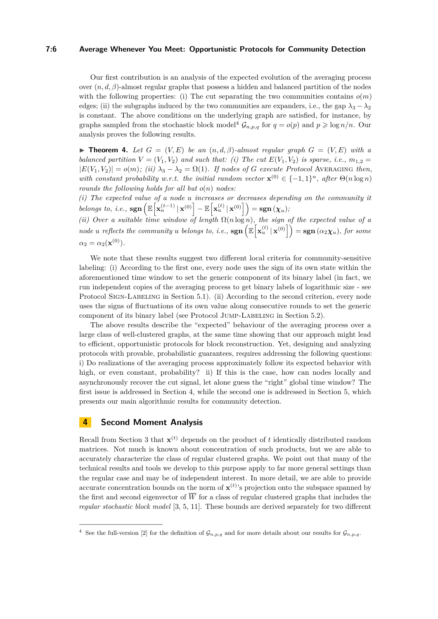## **7:6 Average Whenever You Meet: Opportunistic Protocols for Community Detection**

Our first contribution is an analysis of the expected evolution of the averaging process over (*n, d, β*)-almost regular graphs that possess a hidden and balanced partition of the nodes with the following properties: (i) The cut separating the two communities contains  $o(m)$ edges; (ii) the subgraphs induced by the two communities are expanders, i.e., the gap  $\lambda_3 - \lambda_2$ is constant. The above conditions on the underlying graph are satisfied, for instance, by graphs sampled from the stochastic block model<sup>[4](#page-5-1)</sup>  $\mathcal{G}_{n,p,q}$  for  $q = o(p)$  and  $p \geqslant \log n/n$ . Our analysis proves the following results.

**Find 1.** Let  $G = (V, E)$  be an  $(n, d, \beta)$ -almost regular graph  $G = (V, E)$  with a *balanced partition*  $V = (V_1, V_2)$  *and such that: (i)* The cut  $E(V_1, V_2)$  *is sparse, i.e.,*  $m_{1,2} =$  $|E(V_1, V_2)| = o(m)$ ; (ii)  $\lambda_3 - \lambda_2 = \Omega(1)$ *. If nodes of G execute Protocol* AVERAGING *then, with constant probability w.r.t. the initial random vector*  $\mathbf{x}^{(0)} \in \{-1,1\}^n$ , after  $\Theta(n \log n)$ *rounds the following holds for all but o*(*n*) *nodes:*

*(i) The expected value of a node u increases or decreases depending on the community it*  $\mathbf{E}\left[\mathbf{x}_u^{(t-1)} | \mathbf{x}_u^{(0)}\right] - \mathbb{E}\left[\mathbf{x}_u^{(t)} | \mathbf{x}_u^{(0)}\right]\right) = \mathbf{sgn}(\boldsymbol{\chi}_u);$ 

*(ii) Over a suitable time window of length* Ω(*n* log *n*)*, the sign of the expected value of a*  $a$  *node u reflects the community u belongs to, i.e.,*  $\operatorname{sgn}\left(\mathbb{E}\left[\mathbf{x}_{u}^{(t)} | \mathbf{x}^{(0)}\right]\right) = \operatorname{sgn}\left(\alpha_{2} \chi_{u}\right)$ , for some  $\alpha_2 = \alpha_2(\mathbf{x}^{(0)}).$ 

We note that these results suggest two different local criteria for community-sensitive labeling: (i) According to the first one, every node uses the sign of its own state within the aforementioned time window to set the generic component of its binary label (in fact, we run independent copies of the averaging process to get binary labels of logarithmic size - see Protocol SIGN-LABELING in Section [5.1\)](#page-8-2). (ii) According to the second criterion, every node uses the signs of fluctuations of its own value along consecutive rounds to set the generic component of its binary label (see Protocol JUMP-LABELING in Section [5.2\)](#page-9-2).

The above results describe the "expected" behaviour of the averaging process over a large class of well-clustered graphs, at the same time showing that our approach might lead to efficient, opportunistic protocols for block reconstruction. Yet, designing and analyzing protocols with provable, probabilistic guarantees, requires addressing the following questions: i) Do realizations of the averaging process approximately follow its expected behavior with high, or even constant, probability? ii) If this is the case, how can nodes locally and asynchronously recover the cut signal, let alone guess the "right" global time window? The first issue is addressed in Section [4,](#page-5-0) while the second one is addressed in Section [5,](#page-8-1) which presents our main algorithmic results for community detection.

# <span id="page-5-0"></span>**4 Second Moment Analysis**

Recall from Section [3](#page-4-0) that  $\mathbf{x}^{(t)}$  depends on the product of t identically distributed random matrices. Not much is known about concentration of such products, but we are able to accurately characterize the class of regular clustered graphs. We point out that many of the technical results and tools we develop to this purpose apply to far more general settings than the regular case and may be of independent interest. In more detail, we are able to provide accurate concentration bounds on the norm of  $\mathbf{x}^{(t)}$ 's projection onto the subspace spanned by the first and second eigenvector of  $\overline{W}$  for a class of regular clustered graphs that includes the *regular stochastic block model* [\[3,](#page-12-7) [5,](#page-12-8) [11\]](#page-12-9). These bounds are derived separately for two different

<span id="page-5-1"></span><sup>&</sup>lt;sup>4</sup> See the full-version [\[2\]](#page-12-1) for the definition of  $\mathcal{G}_{n,p,q}$  and for more details about our results for  $\mathcal{G}_{n,p,q}$ .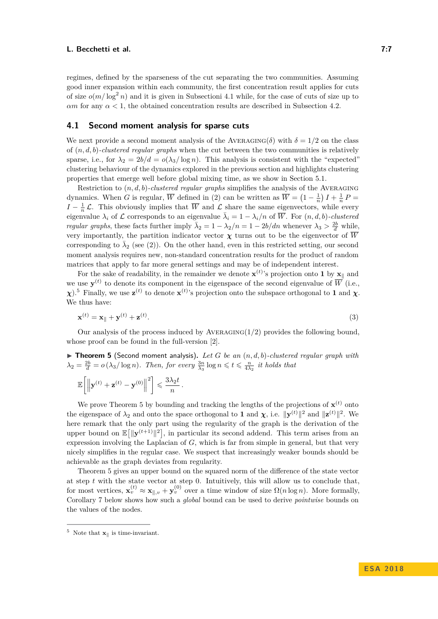regimes, defined by the sparseness of the cut separating the two communities. Assuming good inner expansion within each community, the first concentration result applies for cuts of size  $o(m/\log^2 n)$  and it is given in Subsectioni [4.1](#page-6-0) while, for the case of cuts of size up to *αm* for any  $\alpha$  < 1, the obtained concentration results are described in Subsection [4.2.](#page-7-0)

## <span id="page-6-0"></span>**4.1 Second moment analysis for sparse cuts**

We next provide a second moment analysis of the AVERAGING( $\delta$ ) with  $\delta = 1/2$  on the class of (*n, d, b*)*-clustered regular graphs* when the cut between the two communities is relatively sparse, i.e., for  $\lambda_2 = 2b/d = o(\lambda_3/\log n)$ . This analysis is consistent with the "expected" clustering behaviour of the dynamics explored in the previous section and highlights clustering properties that emerge well before global mixing time, as we show in Section [5.1.](#page-8-2)

Restriction to  $(n, d, b)$ *-clustered regular graphs* simplifies the analysis of the AVERAGING dynamics. When *G* is regular,  $\overline{W}$  defined in [\(2\)](#page-4-4) can be written as  $\overline{W} = \left(1 - \frac{1}{n}\right)I + \frac{1}{n}P =$  $I - \frac{1}{n} \mathcal{L}$ . This obviously implies that  $\overline{W}$  and  $\mathcal{L}$  share the same eigenvectors, while every eigenvalue  $\lambda_i$  of L corresponds to an eigenvalue  $\bar{\lambda}_i = 1 - \lambda_i/n$  of  $\overline{W}$ . For  $(n, d, b)$ *-clustered regular graphs*, these facts further imply  $\bar{\lambda}_2 = 1 - \lambda_2/n = 1 - 2b/dn$  whenever  $\lambda_3 > \frac{2b}{d}$  while, very importantly, the partition indicator vector  $\chi$  turns out to be the eigenvector of  $\overline{W}$ corresponding to  $\bar{\lambda}_2$  (see [\(2\)](#page-4-4)). On the other hand, even in this restricted setting, our second moment analysis requires new, non-standard concentration results for the product of random matrices that apply to far more general settings and may be of independent interest.

For the sake of readability, in the remainder we denote  $\mathbf{x}^{(t)}$ 's projection onto 1 by  $\mathbf{x}_{\parallel}$  and we use  $\mathbf{y}^{(t)}$  to denote its component in the eigenspace of the second eigenvalue of  $\overline{W}$  (i.e., *χ*).<sup>[5](#page-6-1)</sup> Finally, we use  $\mathbf{z}^{(t)}$  to denote  $\mathbf{x}^{(t)}$ 's projection onto the subspace orthogonal to 1 and *χ*. We thus have:

$$
\mathbf{x}^{(t)} = \mathbf{x}_{\parallel} + \mathbf{y}^{(t)} + \mathbf{z}^{(t)}.
$$
 (3)

Our analysis of the process induced by Averaging(1*/*2) provides the following bound, whose proof can be found in the full-version [\[2\]](#page-12-1).

<span id="page-6-2"></span> $\triangleright$  **Theorem 5** (Second moment analysis). Let G be an  $(n, d, b)$ -clustered regular graph with  $\lambda_2 = \frac{2b}{d} = o\left(\lambda_3/\log n\right)$ *. Then, for every*  $\frac{3n}{\lambda_3}\log n \leq t \leq \frac{n}{4\lambda_2}$  *it holds that* 

$$
\mathbb{E}\bigg[\bigg\|\mathbf{y}^{(t)}+\mathbf{z}^{(t)}-\mathbf{y}^{(0)}\bigg\|^2\bigg]\leqslant \frac{3\lambda_2 t}{n}.
$$

We prove Theorem [5](#page-6-2) by bounding and tracking the lengths of the projections of  $\mathbf{x}^{(t)}$  onto the eigenspace of  $\lambda_2$  and onto the space orthogonal to **1** and *χ*, i.e.  $\|\mathbf{y}^{(t)}\|^2$  and  $\|\mathbf{z}^{(t)}\|^2$ . We here remark that the only part using the regularity of the graph is the derivation of the upper bound on  $\mathbb{E}[\|\mathbf{y}^{(t+1)}\|^2]$ , in particular its second addend. This term arises from an expression involving the Laplacian of *G*, which is far from simple in general, but that very nicely simplifies in the regular case. We suspect that increasingly weaker bounds should be achievable as the graph deviates from regularity.

Theorem [5](#page-6-2) gives an upper bound on the squared norm of the difference of the state vector at step *t* with the state vector at step 0. Intuitively, this will allow us to conclude that, for most vertices,  $\mathbf{x}_{v}^{(t)} \approx \mathbf{x}_{\parallel,v} + \mathbf{y}_{v}^{(0)}$  over a time window of size  $\Omega(n \log n)$ . More formally, Corollary [7](#page-7-1) below shows how such a *global* bound can be used to derive *pointwise* bounds on the values of the nodes.

<span id="page-6-1"></span><sup>&</sup>lt;sup>5</sup> Note that  $\mathbf{x}_{\parallel}$  is time-invariant.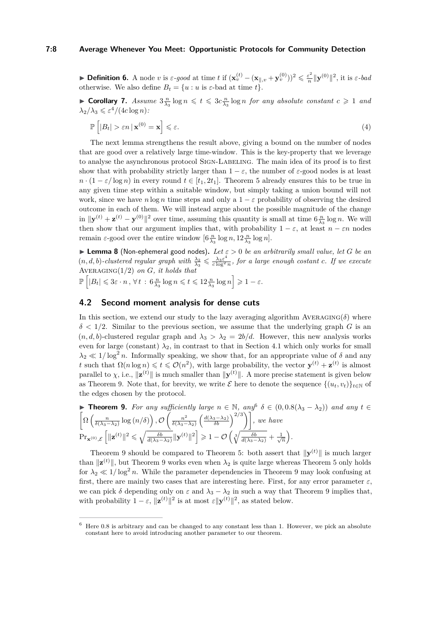## **7:8 Average Whenever You Meet: Opportunistic Protocols for Community Detection**

► **Definition 6.** A node *v* is  $\varepsilon$ -good at time *t* if  $(\mathbf{x}_v^{(t)} - (\mathbf{x}_{\parallel,v} + \mathbf{y}_v^{(0)}))^2 \leq \frac{\varepsilon^2}{n}$  $\frac{\varepsilon^2}{n}$   $\|\mathbf{y}^{(0)}\|^2$ , it is  $\varepsilon$ *-bad* otherwise. We also define  $B_t = \{u : u \text{ is } \varepsilon\text{-bad at time } t\}.$ 

<span id="page-7-1"></span>**Corollary 7.** Assume  $3\frac{n}{\lambda_3} \log n \le t \le 3c\frac{n}{\lambda_3} \log n$  for any absolute constant  $c \ge 1$  and  $\lambda_2/\lambda_3 \leqslant \varepsilon^4/(4c\log n)$ :

$$
\mathbb{P}\left[|B_t| > \varepsilon n \,|\mathbf{x}^{(0)} = \mathbf{x}\right] \leqslant \varepsilon. \tag{4}
$$

The next lemma strengthens the result above, giving a bound on the number of nodes that are good over a relatively large time-window. This is the key-property that we leverage to analyse the asynchronous protocol SIGN-LABELING. The main idea of its proof is to first show that with probability strictly larger than  $1 - \varepsilon$ , the number of  $\varepsilon$ -good nodes is at least  $n \cdot (1 - \varepsilon / \log n)$  in every round  $t \in [t_1, 2t_1]$ . Theorem [5](#page-6-2) already ensures this to be true in any given time step within a suitable window, but simply taking a union bound will not work, since we have  $n \log n$  time steps and only a  $1 - \varepsilon$  probability of observing the desired outcome in each of them. We will instead argue about the possible magnitude of the change  $\|\mathbf{y}^{(t)} + \mathbf{z}^{(t)} - \mathbf{y}^{(0)}\|^2$  over time, assuming this quantity is small at time  $6\frac{n}{\lambda_3} \log n$ . We will then show that our argument implies that, with probability  $1 - \varepsilon$ , at least  $n - \varepsilon n$  nodes remain  $\varepsilon$ -good over the entire window  $[6\frac{n}{\lambda_3}\log n, 12\frac{n}{\lambda_3}\log n]$ .

<span id="page-7-4"></span>**Example 3** (Non-ephemeral good nodes). Let  $\varepsilon > 0$  be an arbitrarily small value, let G be an  $(n, d, b)$ -clustered regular graph with  $\frac{\lambda_2}{\lambda_3} \leqslant \frac{\lambda_3 \varepsilon^4}{c \log^2}$  $\frac{\lambda_3 \varepsilon^2}{c \log^2 n}$ , for a large enough costant *c.* If we execute Averaging(1*/*2) *on G, it holds that*

 $\mathbb{P}\left[|B_t| \leqslant 3\varepsilon \cdot n, \forall t : 6\frac{n}{\lambda_3}\log n \leqslant t \leqslant 12\frac{n}{\lambda_3}\log n\right] \geqslant 1-\varepsilon.$ 

# <span id="page-7-0"></span>**4.2 Second moment analysis for dense cuts**

In this section, we extend our study to the lazy averaging algorithm  $AVERAGING(\delta)$  where  $\delta$  < 1/2. Similar to the previous section, we assume that the underlying graph *G* is an  $(n, d, b)$ -clustered regular graph and  $\lambda_3 > \lambda_2 = 2b/d$ . However, this new analysis works even for large (constant)  $\lambda_2$ , in contrast to that in Section [4.1](#page-6-0) which only works for small  $\lambda_2 \ll 1/\log^2 n$ . Informally speaking, we show that, for an appropriate value of *δ* and any *t* such that  $\Omega(n \log n) \leq t \leq \mathcal{O}(n^2)$ , with large probability, the vector  $\mathbf{y}^{(t)} + \mathbf{z}^{(t)}$  is almost parallel to  $\chi$ , i.e.,  $\|\mathbf{z}^{(t)}\|$  is much smaller than  $\|\mathbf{y}^{(t)}\|$ . A more precise statement is given below as Theorem [9.](#page-7-2) Note that, for brevity, we write  $\mathcal{E}$  here to denote the sequence  $\{(u_t, v_t)\}_{t\in\mathbb{N}}$  of the edges chosen by the protocol.

<span id="page-7-2"></span>
$$
\blacktriangleright \text{ Theorem 9. For any sufficiently large } n \in \mathbb{N}, \text{ any } \delta \in (0, 0.8(\lambda_3 - \lambda_2)) \text{ and any } t \in \left[\Omega\left(\frac{n}{\delta(\lambda_3 - \lambda_2)}\log\left(n/\delta\right)\right), \mathcal{O}\left(\frac{n^2}{\delta(\lambda_3 - \lambda_2)}\left(\frac{d(\lambda_3 - \lambda_2)}{\delta b}\right)^{2/3}\right)\right], \text{ we have}
$$
\n
$$
\Pr_{\mathbf{x}^{(0)}, \mathcal{E}}\left[\|\mathbf{z}^{(t)}\|^2 \leq \sqrt{\frac{\delta b}{d(\lambda_3 - \lambda_2)}}\|\mathbf{y}^{(t)}\|^2\right] \geq 1 - \mathcal{O}\left(\sqrt[3]{\frac{\delta b}{d(\lambda_3 - \lambda_2)}} + \frac{1}{\sqrt{n}}\right).
$$

Theorem [9](#page-7-2) should be compared to Theorem [5:](#page-6-2) both assert that  $\|\mathbf{y}^{(t)}\|$  is much larger than  $\|\mathbf{z}^{(t)}\|$ , but Theorem [9](#page-7-2) works even when  $\lambda_2$  is quite large whereas Theorem [5](#page-6-2) only holds for  $\lambda_2 \ll 1/\log^2 n$ . While the parameter dependencies in Theorem [9](#page-7-2) may look confusing at first, there are mainly two cases that are interesting here. First, for any error parameter  $\varepsilon$ , we can pick  $\delta$  depending only on  $\varepsilon$  and  $\lambda_3 - \lambda_2$  in such a way that Theorem [9](#page-7-2) implies that, with probability  $1 - \varepsilon$ ,  $\|\mathbf{z}^{(t)}\|^2$  is at most  $\varepsilon \|\mathbf{y}^{(t)}\|^2$ , as stated below.

<span id="page-7-3"></span><sup>6</sup> Here 0.8 is arbitrary and can be changed to any constant less than 1. However, we pick an absolute constant here to avoid introducing another parameter to our theorem.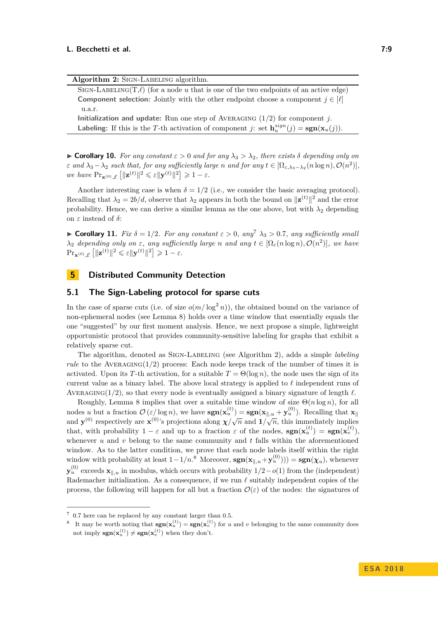| Algorithm 2: SIGN-LABELING algorithm.                                                                                           |
|---------------------------------------------------------------------------------------------------------------------------------|
| SIGN-LABELING(T, $\ell$ ) (for a node u that is one of the two endpoints of an active edge)                                     |
| <b>Component selection:</b> Jointly with the other endpoint choose a component $j \in [\ell]$                                   |
| u.a.r.                                                                                                                          |
| <b>Initialization and update:</b> Run one step of AVERAGING $(1/2)$ for component j.                                            |
| <b>Labeling:</b> If this is the T-th activation of component j: set $\mathbf{h}_{n}^{sign}(j) = \text{sgn}(\mathbf{x}_{n}(j)).$ |

<span id="page-8-5"></span><span id="page-8-0"></span> $\triangleright$  **Corollary 10.** For any constant  $\varepsilon > 0$  and for any  $\lambda_3 > \lambda_2$ , there exists  $\delta$  depending only on *ε* and  $\lambda_3 - \lambda_2$  such that, for any sufficiently large *n* and for any  $t \in [\Omega_{\varepsilon, \lambda_3 - \lambda_2}(n \log n), \mathcal{O}(n^2)]$ ,  $\text{where } \Pr_{\mathbf{x}^{(0)}, \mathcal{E}} \left[ \|\mathbf{z}^{(t)}\|^2 \leqslant \varepsilon \|\mathbf{y}^{(t)}\|^2 \right] \geqslant 1 - \varepsilon.$ 

Another interesting case is when  $\delta = 1/2$  (i.e., we consider the basic averaging protocol). Recalling that  $\lambda_2 = 2b/d$ , observe that  $\lambda_2$  appears in both the bound on  $\|\mathbf{z}^{(t)}\|^2$  and the error probability. Hence, we can derive a similar lemma as the one above, but with  $\lambda_2$  depending on *ε* instead of *δ*:

<span id="page-8-6"></span>**Corollary 11.** *Fix*  $\delta = 1/2$ *. For any constant*  $\varepsilon > 0$ *, any*<sup>[7](#page-8-3)</sup>  $\lambda_3 > 0.7$ *, any sufficiently small*  $\lambda_2$  *depending only on*  $\varepsilon$ *, any sufficiently large n and any*  $t \in [\Omega_{\varepsilon}(n \log n), \mathcal{O}(n^2)]$ *, we have*  $\Pr_{\mathbf{x}^{(0)}, \mathcal{E}} \left[ \|\mathbf{z}^{(t)}\|^2 \leqslant \varepsilon \|\mathbf{y}^{(t)}\|^2 \right] \geqslant 1 - \varepsilon.$ 

# <span id="page-8-1"></span>**5 Distributed Community Detection**

## <span id="page-8-2"></span>**5.1 The Sign-Labeling protocol for sparse cuts**

In the case of sparse cuts (i.e. of size  $o(m/\log^2 n)$ ), the obtained bound on the variance of non-ephemeral nodes (see Lemma [8\)](#page-7-4) holds over a time window that essentially equals the one "suggested" by our first moment analysis. Hence, we next propose a simple, lightweight opportunistic protocol that provides community-sensitive labeling for graphs that exhibit a relatively sparse cut.

The algorithm, denoted as Sign-Labeling (see Algorithm [2\)](#page-8-0), adds a simple *labeling rule* to the AVERAGING( $1/2$ ) process: Each node keeps track of the number of times it is activated. Upon its *T*-th activation, for a suitable  $T = \Theta(\log n)$ , the node uses the sign of its current value as a binary label. The above local strategy is applied to  $\ell$  independent runs of AVERAGING(1/2), so that every node is eventually assigned a binary signature of length  $\ell$ .

Roughly, Lemma [8](#page-7-4) implies that over a suitable time window of size Θ(*n* log *n*), for all nodes *u* but a fraction  $\mathcal{O}(\varepsilon/\log n)$ , we have  $\textbf{sgn}(\mathbf{x}_{u}^{(t)}) = \textbf{sgn}(\mathbf{x}_{\parallel,u} + \mathbf{y}_{u}^{(0)})$ . Recalling that  $\mathbf{x}_{\parallel}$ and **y**<sup>(0)</sup> respectively are **x**<sup>(0)</sup>'s projections along  $\chi/\sqrt{n}$  and  $1/\sqrt{n}$ , this immediately implies that, with probability  $1 - \varepsilon$  and up to a fraction  $\varepsilon$  of the nodes,  $sgn(\mathbf{x}_u^{(t)}) = sgn(\mathbf{x}_v^{(t)})$ , whenever *u* and *v* belong to the same community and *t* falls within the aforementioned window. As to the latter condition, we prove that each node labels itself within the right window with probability at least  $1-1/n$ .<sup>[8](#page-8-4)</sup> Moreover,  $sgn(x_{\parallel,u} + y_u^{(0)})) = sgn(\chi_u)$ , whenever  $\mathbf{y}^{(0)}_u$  exceeds  $\mathbf{x}_{\parallel,u}$  in modulus, which occurs with probability  $1/2-o(1)$  from the (independent) Rademacher initialization. As a consequence, if we run  $\ell$  suitably independent copies of the process, the following will happen for all but a fraction  $\mathcal{O}(\varepsilon)$  of the nodes: the signatures of

<span id="page-8-3"></span> $7\,$  0.7 here can be replaced by any constant larger than 0.5.

<span id="page-8-4"></span><sup>&</sup>lt;sup>8</sup> It may be worth noting that  $\text{sgn}(\mathbf{x}_u^{(t)}) = \text{sgn}(\mathbf{x}_v^{(t)})$  for *u* and *v* belonging to the same community does not imply  $sgn(x_u^{(t)}) \neq sgn(x_v^{(t)})$  when they don't.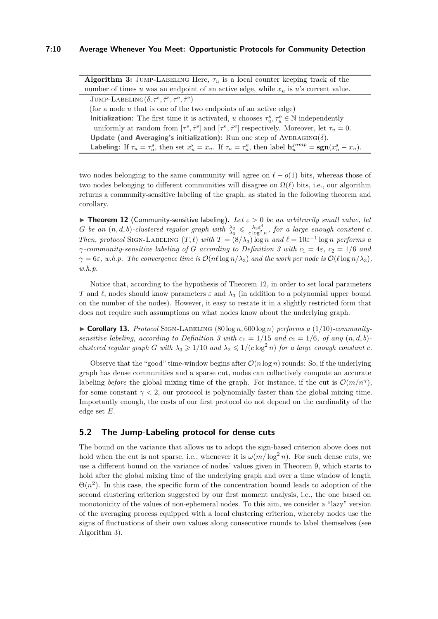**Algorithm 3:** JUMP-LABELING Here,  $\tau_u$  is a local counter keeping track of the number of times  $u$  was an endpoint of an active edge, while  $x_u$  is  $u$ 's current value.

| JUMP-LABELING $(\delta, \tau^s, \tilde{\tau}^s, \tau^e, \tilde{\tau}^e)$                                                                                 |
|----------------------------------------------------------------------------------------------------------------------------------------------------------|
| (for a node $u$ that is one of the two endpoints of an active edge)                                                                                      |
| <b>Initialization:</b> The first time it is activated, u chooses $\tau_n^s, \tau_n^e \in \mathbb{N}$ independently                                       |
| uniformly at random from $[\tau^s, \tilde{\tau}^s]$ and $[\tau^e, \tilde{\tau}^e]$ respectively. Moreover, let $\tau_u = 0$ .                            |
| Update (and Averaging's initialization): Run one step of AVERAGING( $\delta$ ).                                                                          |
| <b>Labeling:</b> If $\tau_u = \tau_u^s$ , then set $x_u^s = x_u$ . If $\tau_u = \tau_u^e$ , then label $\mathbf{h}_u^{jump} = \text{sgn}(x_u^s - x_u)$ . |

<span id="page-9-1"></span>two nodes belonging to the same community will agree on  $\ell - o(1)$  bits, whereas those of two nodes belonging to different communities will disagree on  $\Omega(\ell)$  bits, i.e., our algorithm returns a community-sensitive labeling of the graph, as stated in the following theorem and corollary.

<span id="page-9-0"></span>**Figure 12** (Community-sensitive labeling). Let  $\varepsilon > 0$  be an arbitrarily small value, let *G be an*  $(n, d, b)$ -*clustered regular graph with*  $\frac{\lambda_2}{\lambda_3} \leqslant \frac{\lambda_3 \varepsilon^4}{c \log^2}$  $\frac{\lambda_3 \varepsilon^2}{c \log^2 n}$ , for a large enough constant *c*. *Then, protocol* SIGN-LABELING  $(T, \ell)$  *with*  $T = (8/\lambda_3) \log n$  *and*  $\ell = 10 \varepsilon^{-1} \log n$  *performs a γ-community-sensitive labeling of G according to Definition [3](#page-4-5) with c*<sup>1</sup> = 4*ε, c*<sup>2</sup> = 1*/*6 *and*  $\gamma = 6\varepsilon$ *, w.h.p.* The convergence time is  $\mathcal{O}(n\ell \log n/\lambda_3)$  and the work per node is  $\mathcal{O}(\ell \log n/\lambda_3)$ , *w.h.p.*

Notice that, according to the hypothesis of Theorem [12,](#page-9-0) in order to set local parameters *T* and  $\ell$ , nodes should know parameters  $\varepsilon$  and  $\lambda_3$  (in addition to a polynomial upper bound on the number of the nodes). However, it easy to restate it in a slightly restricted form that does not require such assumptions on what nodes know about the underlying graph.

 $\triangleright$  **Corollary 13.** *Protocol* SIGN-LABELING (80 log *n*, 600 log *n*) *performs a* (1/10)*-community-sensitive labeling, according to Definition [3](#page-4-5) with*  $c_1 = 1/15$  *and*  $c_2 = 1/6$ *, of any*  $(n, d, b)$ *clustered regular graph G* with  $\lambda_3 \geq 1/10$  *and*  $\lambda_2 \leq 1/(c \log^2 n)$  *for a large enough constant c.* 

Observe that the "good" time-window begins after  $\mathcal{O}(n \log n)$  rounds: So, if the underlying graph has dense communities and a sparse cut, nodes can collectively compute an accurate labeling *before* the global mixing time of the graph. For instance, if the cut is  $\mathcal{O}(m/n^{\gamma})$ , for some constant  $\gamma$  < 2, our protocol is polynomially faster than the global mixing time. Importantly enough, the costs of our first protocol do not depend on the cardinality of the edge set *E*.

## <span id="page-9-2"></span>**5.2 The Jump-Labeling protocol for dense cuts**

The bound on the variance that allows us to adopt the sign-based criterion above does not hold when the cut is not sparse, i.e., whenever it is  $\omega(m/\log^2 n)$ . For such dense cuts, we use a different bound on the variance of nodes' values given in Theorem [9,](#page-7-2) which starts to hold after the global mixing time of the underlying graph and over a time window of length  $\Theta(n^2)$ . In this case, the specific form of the concentration bound leads to adoption of the second clustering criterion suggested by our first moment analysis, i.e., the one based on monotonicity of the values of non-ephemeral nodes. To this aim, we consider a "lazy" version of the averaging process equipped with a local clustering criterion, whereby nodes use the signs of fluctuations of their own values along consecutive rounds to label themselves (see Algorithm [3\)](#page-9-1).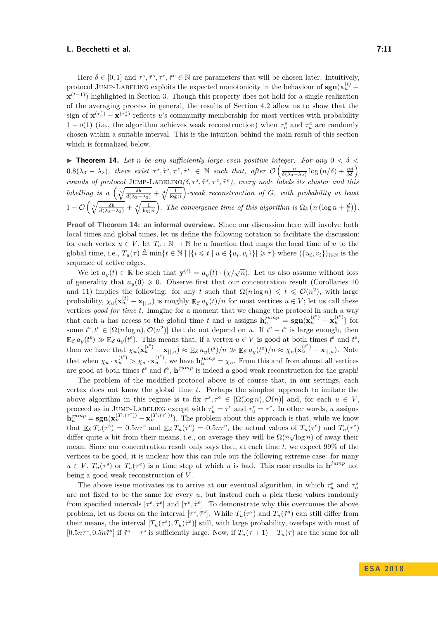Here  $\delta \in [0,1]$  and  $\tau^s, \tilde{\tau}^s, \tau^e, \tilde{\tau}^e \in \mathbb{N}$  are parameters that will be chosen later. Intuitively, protocol JUMP-LABELING exploits the expected monotonicity in the behaviour of  $sgn(x_u^{(t)} \mathbf{x}^{(t-1)}$ ) highlighted in Section [3.](#page-4-0) Though this property does not hold for a single realization of the averaging process in general, the results of Section [4.2](#page-7-0) allow us to show that the sign of  $\mathbf{x}^{(\tau_u^e)} - \mathbf{x}^{(\tau_u^s)}$  reflects *u*'s community membership for most vertices with probability 1 −  $o(1)$  (i.e., the algorithm achieves weak reconstruction) when  $\tau_u^s$  and  $\tau_u^e$  are randomly chosen within a suitable interval. This is the intuition behind the main result of this section which is formalized below.

<span id="page-10-0"></span>**Theorem 14.** Let *n* be any sufficiently large even positive integer. For any  $0 < \delta <$  $0.8(\lambda_3 - \lambda_2)$ , there exist  $\tau^s, \tilde{\tau}^s, \tau^e, \tilde{\tau}^e \in \mathbb{N}$  such that, after  $\mathcal{O}\left(\frac{n}{\delta(\lambda_3 - \lambda_2)}\log(n/\delta) + \frac{nd}{b\delta}\right)$ *rounds of protocol* JUMP-LABELING $(\delta, \tau^s, \tilde{\tau}^s, \tau^e, \tilde{\tau}^e)$ , every node labels its cluster and this  $labelling$  is a  $\left(\sqrt[8]{\frac{\delta b}{d(\lambda_3-\lambda_2)}}+\sqrt[4]{\frac{1}{\log n}}\right)$ -weak reconstruction of *G*, with probability at least  $1 - \mathcal{O}\left(\sqrt[3]{\frac{\delta b}{d(\lambda_3 - \lambda_2)}} + \sqrt[4]{\frac{1}{\log n}}\right)$ . The convergence time of this algorithm is  $\Omega_{\delta}\left(n\left(\log n + \frac{d}{b}\right)\right)$ .

**Proof of Theorem [14:](#page-10-0) an informal overview.** Since our discussion here will involve both local times and global times, let us define the following notation to facilitate the discussion: for each vertex  $u \in V$ , let  $T_u : \mathbb{N} \to \mathbb{N}$  be a function that maps the local time of *u* to the global time, i.e.,  $T_u(\tau) \triangleq \min\{t \in \mathbb{N} \mid |\{i \leq t \mid u \in \{u_i, v_i\}\}| \geqslant \tau\}$  where  $(\{u_i, v_i\})_{i \in \mathbb{N}}$  is the sequence of active edges.

We let  $a_y(t) \in \mathbb{R}$  be such that  $\mathbf{y}^{(t)} = a_y(t) \cdot (\chi/\sqrt{n})$ . Let us also assume without loss of generality that  $a_y(0) \geq 0$ . Observe first that our concentration result (Corollaries [10](#page-8-5) and [11\)](#page-8-6) implies the following: for any *t* such that  $\Omega(n \log n) \leq t \leq \mathcal{O}(n^2)$ , with large probability,  $\chi_u(\mathbf{x}_u^{(t)} - \mathbf{x}_{||,u})$  is roughly  $\mathbb{E}_{\mathcal{E}} a_y(t)/n$  for most vertices  $u \in V$ ; let us call these vertices *good for time t*. Imagine for a moment that we change the protocol in such a way that each *u* has access to the global time *t* and *u* assigns  $h_u^{jump} = \text{sgn}(\mathbf{x}_u^{(t^e)} - \mathbf{x}_u^{(t^s)})$  for some  $t^s, t^e \in [\Omega(n \log n), \mathcal{O}(n^2)]$  that do not depend on *u*. If  $t^e - t^s$  is large enough, then  $\mathbb{E}_{\mathcal{E}} a_y(t^s) \gg \mathbb{E}_{\mathcal{E}} a_y(t^e)$ . This means that, if a vertex  $u \in V$  is good at both times  $t^s$  and  $t^e$ , then we have that  $\chi_u(\mathbf{x}_u^{(t^s)} - \mathbf{x}_{||,u}) \approx \mathbb{E}_{\mathcal{E}} a_y(t^s)/n \gg \mathbb{E}_{\mathcal{E}} a_y(t^e)/n \approx \chi_u(\mathbf{x}_u^{(t^s)} - \mathbf{x}_{||,u}).$  Note that when  $\chi_u \cdot \mathbf{x}_u^{(t^s)} > \chi_u \cdot \mathbf{x}_u^{(t^e)}$ , we have  $\mathbf{h}_u^{jump} = \chi_u$ . From this and from almost all vertices are good at both times  $t^s$  and  $t^e$ ,  $h^{jump}$  is indeed a good weak reconstruction for the graph!

The problem of the modified protocol above is of course that, in our settings, each vertex does not know the global time *t*. Perhaps the simplest approach to imitate the above algorithm in this regime is to fix  $\tau^s, \tau^e \in [\Omega(\log n), \mathcal{O}(n)]$  and, for each  $u \in V$ , proceed as in JUMP-LABELING except with  $\tau_u^s = \tau^s$  and  $\tau_u^e = \tau^e$ . In other words, *u* assigns  $\mathbf{h}^{jump}_{u} = \mathbf{sgn}(\mathbf{x}^{(T_u(\tau^s))}_u - \mathbf{x}^{(T_u(\tau^s))}_u)$ . The problem about this approach is that, while we know that  $\mathbb{E}_{\mathcal{E}} T_u(\tau^s) = 0.5n\tau^s$  and  $\mathbb{E}_{\mathcal{E}} T_u(\tau^e) = 0.5n\tau^e$ , the actual values of  $T_u(\tau^s)$  and  $T_u(\tau^e)$ differ quite a bit from their means, i.e., on average they will be  $\Omega(n\sqrt{\log n})$  of away their mean. Since our concentration result only says that, at each time *t*, we expect 99% of the vertices to be good, it is unclear how this can rule out the following extreme case: for many  $u \in V$ ,  $T_u(\tau^s)$  or  $T_u(\tau^e)$  is a time step at which *u* is bad. This case results in  $\mathbf{h}^{jump}$  not being a good weak reconstruction of *V* .

The above issue motivates us to arrive at our eventual algorithm, in which  $\tau_u^s$  and  $\tau_u^e$ are not fixed to be the same for every *u*, but instead each *u* pick these values randomly from specified intervals  $[\tau^s, \tilde{\tau}^s]$  and  $[\tau^e, \tilde{\tau}^e]$ . To demonstrate why this overcomes the above problem, let us focus on the interval  $[\tau^s, \tilde{\tau}^s]$ . While  $T_u(\tau^s)$  and  $T_u(\tilde{\tau}^s)$  can still differ from their means, the interval  $[T_u(\tau^s), T_u(\tilde{\tau}^s)]$  still, with large probability, overlaps with most of  $[0.5n\tau^s, 0.5n\tilde{\tau}^s]$  if  $\tilde{\tau}^s - \tau^s$  is sufficiently large. Now, if  $T_u(\tau+1) - T_u(\tau)$  are the same for all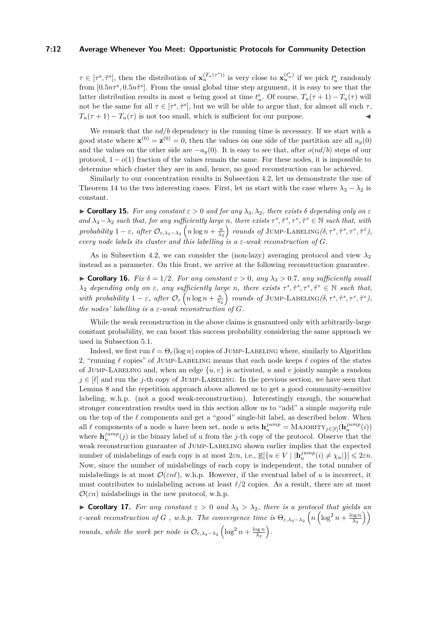#### **7:12 Average Whenever You Meet: Opportunistic Protocols for Community Detection**

 $\tau \in [\tau^s, \tilde{\tau}^s]$ , then the distribution of  $\mathbf{x}_u^{(T_u(\tau^s))}$  is very close to  $\mathbf{x}_u^{(t_u^s)}$  if we pick  $t_u^s$  randomly from  $[0.5n\tau^s, 0.5n\tilde{\tau}^s]$ . From the usual global time step argument, it is easy to see that the latter distribution results in most *u* being good at time  $t_u^s$ . Of course,  $T_u(\tau + 1) - T_u(\tau)$  will not be the same for all  $\tau \in [\tau^s, \tilde{\tau}^s]$ , but we will be able to argue that, for almost all such  $\tau$ ,  $T_u(\tau + 1) - T_u(\tau)$  is not too small, which is sufficient for our purpose.

We remark that the  $nd/b$  dependency in the running time is necessary. If we start with a good state where  $\mathbf{x}^{(0)} = \mathbf{z}^{(0)} = 0$ , then the values on one side of the partition are all  $a_y(0)$ and the values on the other side are  $-a_y(0)$ . It is easy to see that, after  $o(nd/b)$  steps of our protocol,  $1 - o(1)$  fraction of the values remain the same. For these nodes, it is impossible to determine which cluster they are in and, hence, no good reconstruction can be achieved.

Similarly to our concentration results in Subsection [4.2,](#page-7-0) let us demonstrate the use of Theorem [14](#page-10-0) to the two interesting cases. First, let us start with the case where  $\lambda_3 - \lambda_2$  is constant.

<span id="page-11-0"></span> $\triangleright$  **Corollary 15.** For any constant  $\varepsilon > 0$  and for any  $\lambda_3, \lambda_2$ , there exists  $\delta$  depending only on  $\varepsilon$ and  $\lambda_3 - \lambda_2$  such that, for any sufficiently large n, there exists  $\tau^s, \tilde{\tau}^s, \tau^e, \tilde{\tau}^e \in \mathbb{N}$  such that, with  $\textit{probability 1}-\varepsilon,\ \textit{after}\ \mathcal{O}_{\varepsilon,\lambda_3-\lambda_2}\left(n\log n+\frac{n}{\lambda_2}\right)\ \textit{rounds of JUMP-LABELING}(\delta,\tau^s,\tilde{\tau}^s,\tau^e,\tilde{\tau}^e),$ *every node labels its cluster and this labelling is a*  $\varepsilon$ -weak reconstruction of G.

As in Subsection [4.2,](#page-7-0) we can consider the (non-lazy) averaging protocol and view  $\lambda_2$ instead as a parameter. On this front, we arrive at the following reconstruction guarantee.

<span id="page-11-1"></span>**Example 16.** *Fix*  $\delta = 1/2$ *. For any constant*  $\varepsilon > 0$ *, any*  $\lambda_3 > 0.7$ *, any sufficiently small λ*<sub>2</sub> depending only on  $\varepsilon$ , any sufficiently large *n*, there exists  $\tau^s, \tilde{\tau}^s, \tau^e, \tilde{\tau}^e \in \mathbb{N}$  such that, with probability  $1-\varepsilon$ , after  $\mathcal{O}_{\varepsilon}\left(n\log n+\frac{n}{\lambda_2}\right)$  rounds of JUMP-LABELING  $(\delta, \tau^s, \tilde{\tau}^s, \tau^e, \tilde{\tau}^e)$ , *the nodes' labelling is a*  $\varepsilon$ -weak reconstruction of G.

While the weak reconstruction in the above claims is guaranteed only with arbitrarily-large constant probability, we can boost this success probability considering the same approach we used in Subsection [5.1.](#page-8-2)

Indeed, we first run  $\ell = \Theta_{\varepsilon}(\log n)$  copies of JUMP-LABELING where, similarly to Algorithm [2,](#page-8-0) "running  $\ell$  copies" of JUMP-LABELING means that each node keeps  $\ell$  copies of the states of JUMP-LABELING and, when an edge  $\{u, v\}$  is activated, *u* and *v* jointly sample a random  $j \in [\ell]$  and run the *j*-th copy of JUMP-LABELING. In the previous section, we have seen that Lemma [8](#page-7-4) and the repetition approach above allowed us to get a good community-sensitive labeling, w.h.p. (not a good weak-reconstruction). Interestingly enough, the somewhat stronger concentration results used in this section allow us to "add" a simple *majority* rule on the top of the  $\ell$  components and get a "good" single-bit label, as described below. When all  $\ell$  components of a node *u* have been set, node *u* sets  $\mathbf{h}_u^{jump} = \text{MAJORITY}_{j \in [\ell]}(\mathbf{h}_u^{jump}(i))$ where  $\mathbf{h}_{u}^{jump}(j)$  is the binary label of *u* from the *j*-th copy of the protocol. Observe that the weak reconstruction guarantee of JUMP-LABELING shown earlier implies that the expected number of mislabelings of each copy is at most  $2\varepsilon n$ , i.e.,  $\mathbb{E}[\{u \in V \mid |\mathbf{h}_u^{jump}(i) \neq \chi_u|\}] \leq 2\varepsilon n$ . Now, since the number of mislabelings of each copy is independent, the total number of mislabelings is at most  $\mathcal{O}(\varepsilon n\ell)$ , w.h.p. However, if the eventual label of *u* is incorrect, it must contributes to mislabeling across at least  $\ell/2$  copies. As a result, there are at most  $\mathcal{O}(\varepsilon n)$  mislabelings in the new protocol, w.h.p.

**Corollary 17.** For any constant  $\varepsilon > 0$  and  $\lambda_3 > \lambda_2$ , there is a protocol that yields an *ε-weak reconstruction of G*, *w.h.p.* The convergence time is  $\Theta_{\varepsilon,\lambda_3-\lambda_2}\left(n\left(\log^2 n+\frac{\log n}{\lambda_2}\right)\right)$ *rounds, while the work per node is*  $\mathcal{O}_{\varepsilon, \lambda_3 - \lambda_2} \left( \log^2 n + \frac{\log n}{\lambda_2} \right)$ .